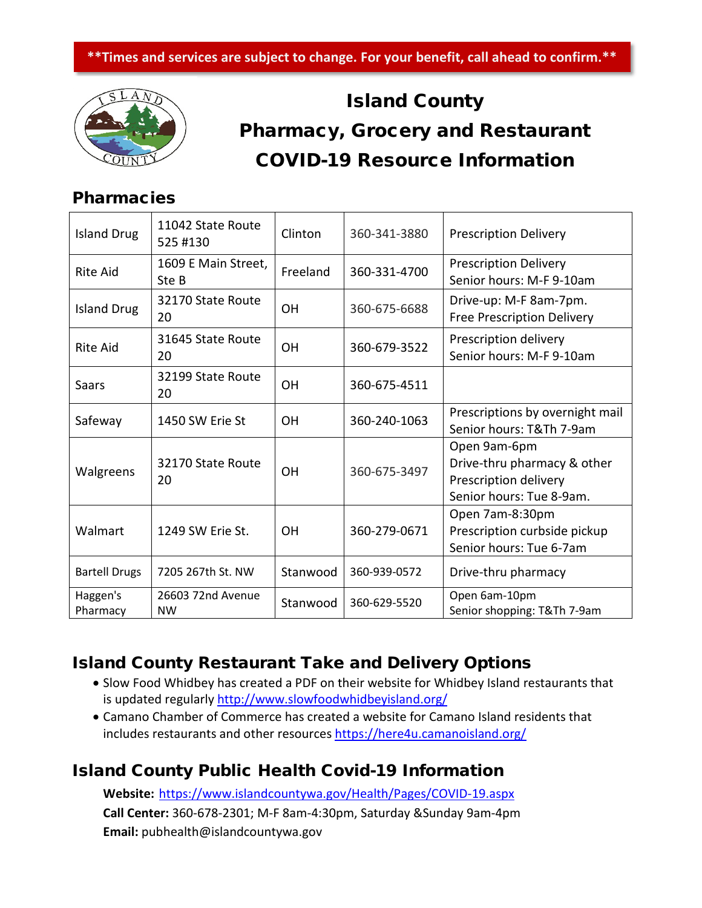

## Island County Pharmacy, Grocery and Restaurant COVID-19 Resource Information

## Pharmacies

| <b>Island Drug</b>   | 11042 State Route<br>525 #130  | Clinton   | 360-341-3880 | <b>Prescription Delivery</b>                                                                     |
|----------------------|--------------------------------|-----------|--------------|--------------------------------------------------------------------------------------------------|
| Rite Aid             | 1609 E Main Street,<br>Ste B   | Freeland  | 360-331-4700 | <b>Prescription Delivery</b><br>Senior hours: M-F 9-10am                                         |
| <b>Island Drug</b>   | 32170 State Route<br>20        | <b>OH</b> | 360-675-6688 | Drive-up: M-F 8am-7pm.<br><b>Free Prescription Delivery</b>                                      |
| <b>Rite Aid</b>      | 31645 State Route<br>20        | OH        | 360-679-3522 | Prescription delivery<br>Senior hours: M-F 9-10am                                                |
| Saars                | 32199 State Route<br>20        | OH        | 360-675-4511 |                                                                                                  |
| Safeway              | 1450 SW Erie St                | OH        | 360-240-1063 | Prescriptions by overnight mail<br>Senior hours: T&Th 7-9am                                      |
| Walgreens            | 32170 State Route<br>20        | <b>OH</b> | 360-675-3497 | Open 9am-6pm<br>Drive-thru pharmacy & other<br>Prescription delivery<br>Senior hours: Tue 8-9am. |
| Walmart              | 1249 SW Erie St.               | <b>OH</b> | 360-279-0671 | Open 7am-8:30pm<br>Prescription curbside pickup<br>Senior hours: Tue 6-7am                       |
| <b>Bartell Drugs</b> | 7205 267th St. NW              | Stanwood  | 360-939-0572 | Drive-thru pharmacy                                                                              |
| Haggen's<br>Pharmacy | 26603 72nd Avenue<br><b>NW</b> | Stanwood  | 360-629-5520 | Open 6am-10pm<br>Senior shopping: T&Th 7-9am                                                     |

## Island County Restaurant Take and Delivery Options

- Slow Food Whidbey has created a PDF on their website for Whidbey Island restaurants that is updated regularly<http://www.slowfoodwhidbeyisland.org/>
- Camano Chamber of Commerce has created a website for Camano Island residents that includes restaurants and other resources<https://here4u.camanoisland.org/>

## Island County Public Health Covid-19 Information

**Website:** <https://www.islandcountywa.gov/Health/Pages/COVID-19.aspx> **Call Center:** 360-678-2301; M-F 8am-4:30pm, Saturday &Sunday 9am-4pm **Email:** pubhealth@islandcountywa.gov